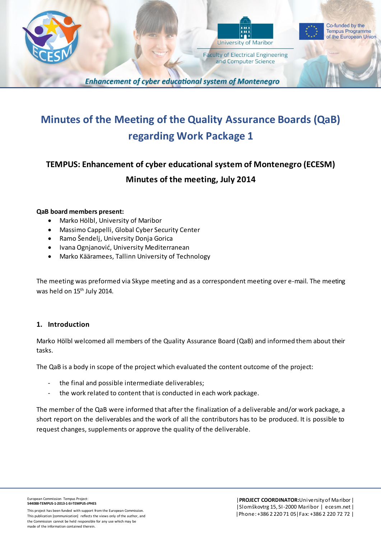



**Faculty of Electrical Engineering** and Computer Science



**Enhancement of cyber educational system of Montenegro** 

# **Minutes of the Meeting of the Quality Assurance Boards (QaB) regarding Work Package 1**

# **TEMPUS: Enhancement of cyber educational system of Montenegro (ECESM) Minutes of the meeting, July 2014**

#### **QaB board members present:**

- Marko Hölbl, University of Maribor
- Massimo Cappelli, Global Cyber Security Center
- Ramo Šendelj, University Donja Gorica
- Ivana Ognjanović, University Mediterranean
- Marko Kääramees, Tallinn University of Technology

The meeting was preformed via Skype meeting and as a correspondent meeting over e-mail. The meeting was held on 15<sup>th</sup> July 2014.

#### **1. Introduction**

Marko Hölbl welcomed all members of the Quality Assurance Board (QaB) and informed them about their tasks.

The QaB is a body in scope of the project which evaluated the content outcome of the project:

- the final and possible intermediate deliverables;
- the work related to content that is conducted in each work package.

The member of the QaB were informed that after the finalization of a deliverable and/or work package, a short report on the deliverables and the work of all the contributors has to be produced. It is possible to request changes, supplements or approve the quality of the deliverable.